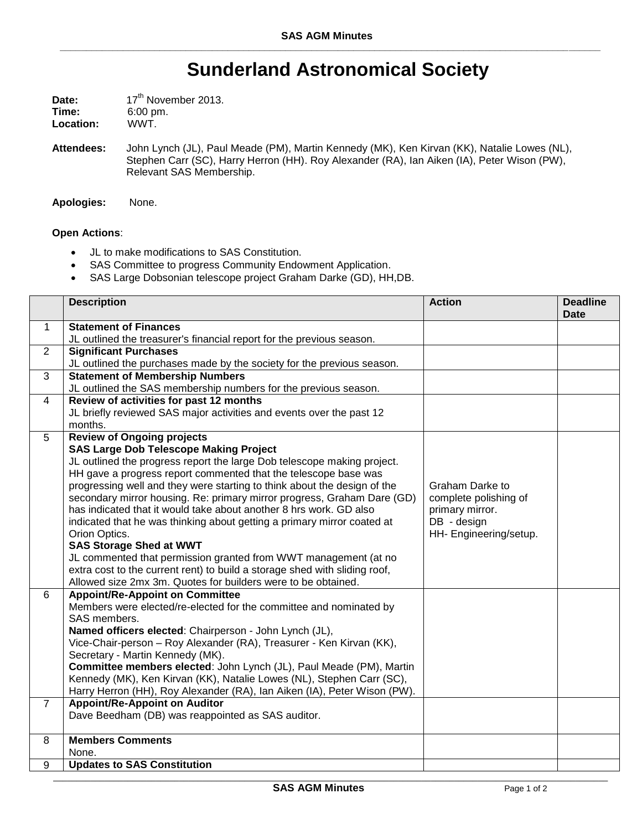## **Sunderland Astronomical Society**

| Date:     | 17 <sup>th</sup> November 2013. |  |
|-----------|---------------------------------|--|
| Time:     | $6:00 \text{ pm}$ .             |  |
| Location: | WWT.                            |  |

**Attendees:** John Lynch (JL), Paul Meade (PM), Martin Kennedy (MK), Ken Kirvan (KK), Natalie Lowes (NL), Stephen Carr (SC), Harry Herron (HH). Roy Alexander (RA), Ian Aiken (IA), Peter Wison (PW), Relevant SAS Membership.

**Apologies:** None.

## **Open Actions**:

- JL to make modifications to SAS Constitution.
- SAS Committee to progress Community Endowment Application.
- SAS Large Dobsonian telescope project Graham Darke (GD), HH,DB.

|                | <b>Description</b>                                                         | <b>Action</b>          | <b>Deadline</b><br><b>Date</b> |
|----------------|----------------------------------------------------------------------------|------------------------|--------------------------------|
| $\mathbf{1}$   | <b>Statement of Finances</b>                                               |                        |                                |
|                | JL outlined the treasurer's financial report for the previous season.      |                        |                                |
| $\overline{2}$ | <b>Significant Purchases</b>                                               |                        |                                |
|                | JL outlined the purchases made by the society for the previous season.     |                        |                                |
| $\overline{3}$ | <b>Statement of Membership Numbers</b>                                     |                        |                                |
|                | JL outlined the SAS membership numbers for the previous season.            |                        |                                |
| $\overline{4}$ | Review of activities for past 12 months                                    |                        |                                |
|                | JL briefly reviewed SAS major activities and events over the past 12       |                        |                                |
|                | months.                                                                    |                        |                                |
| 5              | <b>Review of Ongoing projects</b>                                          |                        |                                |
|                | <b>SAS Large Dob Telescope Making Project</b>                              |                        |                                |
|                | JL outlined the progress report the large Dob telescope making project.    |                        |                                |
|                | HH gave a progress report commented that the telescope base was            |                        |                                |
|                | progressing well and they were starting to think about the design of the   | Graham Darke to        |                                |
|                | secondary mirror housing. Re: primary mirror progress, Graham Dare (GD)    | complete polishing of  |                                |
|                | has indicated that it would take about another 8 hrs work. GD also         | primary mirror.        |                                |
|                | indicated that he was thinking about getting a primary mirror coated at    | DB - design            |                                |
|                | Orion Optics.                                                              | HH- Engineering/setup. |                                |
|                | <b>SAS Storage Shed at WWT</b>                                             |                        |                                |
|                | JL commented that permission granted from WWT management (at no            |                        |                                |
|                | extra cost to the current rent) to build a storage shed with sliding roof, |                        |                                |
|                | Allowed size 2mx 3m. Quotes for builders were to be obtained.              |                        |                                |
| 6              | <b>Appoint/Re-Appoint on Committee</b>                                     |                        |                                |
|                | Members were elected/re-elected for the committee and nominated by         |                        |                                |
|                | SAS members.                                                               |                        |                                |
|                | Named officers elected: Chairperson - John Lynch (JL),                     |                        |                                |
|                | Vice-Chair-person - Roy Alexander (RA), Treasurer - Ken Kirvan (KK),       |                        |                                |
|                | Secretary - Martin Kennedy (MK).                                           |                        |                                |
|                | Committee members elected: John Lynch (JL), Paul Meade (PM), Martin        |                        |                                |
|                | Kennedy (MK), Ken Kirvan (KK), Natalie Lowes (NL), Stephen Carr (SC),      |                        |                                |
|                | Harry Herron (HH), Roy Alexander (RA), Ian Aiken (IA), Peter Wison (PW).   |                        |                                |
| $\overline{7}$ | <b>Appoint/Re-Appoint on Auditor</b>                                       |                        |                                |
|                | Dave Beedham (DB) was reappointed as SAS auditor.                          |                        |                                |
| 8              | <b>Members Comments</b>                                                    |                        |                                |
|                | None.                                                                      |                        |                                |
| 9              | <b>Updates to SAS Constitution</b>                                         |                        |                                |

\_\_\_\_\_\_\_\_\_\_\_\_\_\_\_\_\_\_\_\_\_\_\_\_\_\_\_\_\_\_\_\_\_\_\_\_\_\_\_\_\_\_\_\_\_\_\_\_\_\_\_\_\_\_\_\_\_\_\_\_\_\_\_\_\_\_\_\_\_\_\_\_\_\_\_\_\_\_\_\_\_\_\_\_\_\_\_\_\_\_\_\_\_\_\_\_\_\_\_\_\_\_\_\_\_\_\_\_\_\_\_\_\_\_\_\_\_\_\_